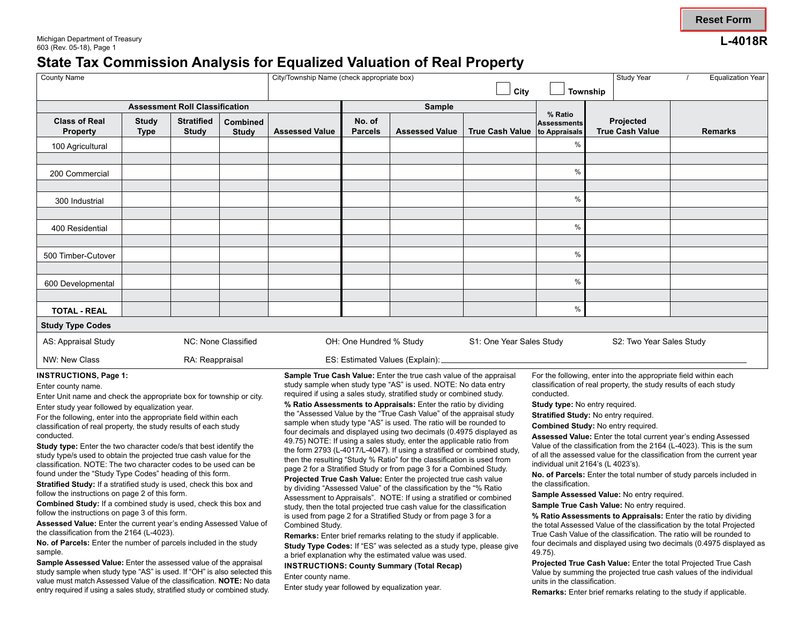# **State Tax Commission Analysis for Foualized Valuation of Real Property**

| <b>County Name</b>                                                                                                                                                                                                                                                                                                                                                                                                                                                          |                             |                                   | City/Township Name (check appropriate box)<br>City                                                                                                                                                                                                                                                                                                                                                                            |                                                     |                                                                                                                                                                                                                                                                                                                                                                                                                                                                                                                                                                                                                                                                                                                                |                                 | Study Year<br><b>Equalization Year</b><br><b>Township</b>                                                                                                                                                                                                |                                                |                                                                                                                                                                                                                                                                                                                                                                                                                                                                                                                                          |                |  |
|-----------------------------------------------------------------------------------------------------------------------------------------------------------------------------------------------------------------------------------------------------------------------------------------------------------------------------------------------------------------------------------------------------------------------------------------------------------------------------|-----------------------------|-----------------------------------|-------------------------------------------------------------------------------------------------------------------------------------------------------------------------------------------------------------------------------------------------------------------------------------------------------------------------------------------------------------------------------------------------------------------------------|-----------------------------------------------------|--------------------------------------------------------------------------------------------------------------------------------------------------------------------------------------------------------------------------------------------------------------------------------------------------------------------------------------------------------------------------------------------------------------------------------------------------------------------------------------------------------------------------------------------------------------------------------------------------------------------------------------------------------------------------------------------------------------------------------|---------------------------------|----------------------------------------------------------------------------------------------------------------------------------------------------------------------------------------------------------------------------------------------------------|------------------------------------------------|------------------------------------------------------------------------------------------------------------------------------------------------------------------------------------------------------------------------------------------------------------------------------------------------------------------------------------------------------------------------------------------------------------------------------------------------------------------------------------------------------------------------------------------|----------------|--|
| <b>Assessment Roll Classification</b>                                                                                                                                                                                                                                                                                                                                                                                                                                       |                             |                                   |                                                                                                                                                                                                                                                                                                                                                                                                                               | Sample                                              |                                                                                                                                                                                                                                                                                                                                                                                                                                                                                                                                                                                                                                                                                                                                |                                 |                                                                                                                                                                                                                                                          |                                                |                                                                                                                                                                                                                                                                                                                                                                                                                                                                                                                                          |                |  |
| <b>Class of Real</b><br><b>Property</b>                                                                                                                                                                                                                                                                                                                                                                                                                                     | <b>Study</b><br><b>Type</b> | <b>Stratified</b><br><b>Study</b> | <b>Combined</b><br><b>Study</b>                                                                                                                                                                                                                                                                                                                                                                                               | <b>Assessed Value</b>                               | No. of<br><b>Parcels</b>                                                                                                                                                                                                                                                                                                                                                                                                                                                                                                                                                                                                                                                                                                       | <b>Assessed Value</b>           | <b>True Cash Value</b>                                                                                                                                                                                                                                   | % Ratio<br><b>Assessments</b><br>to Appraisals | Projected<br><b>True Cash Value</b>                                                                                                                                                                                                                                                                                                                                                                                                                                                                                                      | <b>Remarks</b> |  |
| 100 Agricultural                                                                                                                                                                                                                                                                                                                                                                                                                                                            |                             |                                   |                                                                                                                                                                                                                                                                                                                                                                                                                               |                                                     |                                                                                                                                                                                                                                                                                                                                                                                                                                                                                                                                                                                                                                                                                                                                |                                 |                                                                                                                                                                                                                                                          |                                                |                                                                                                                                                                                                                                                                                                                                                                                                                                                                                                                                          |                |  |
| 200 Commercial                                                                                                                                                                                                                                                                                                                                                                                                                                                              |                             |                                   |                                                                                                                                                                                                                                                                                                                                                                                                                               |                                                     |                                                                                                                                                                                                                                                                                                                                                                                                                                                                                                                                                                                                                                                                                                                                |                                 |                                                                                                                                                                                                                                                          | $\frac{0}{0}$                                  |                                                                                                                                                                                                                                                                                                                                                                                                                                                                                                                                          |                |  |
| 300 Industrial                                                                                                                                                                                                                                                                                                                                                                                                                                                              |                             |                                   |                                                                                                                                                                                                                                                                                                                                                                                                                               |                                                     |                                                                                                                                                                                                                                                                                                                                                                                                                                                                                                                                                                                                                                                                                                                                |                                 |                                                                                                                                                                                                                                                          | %                                              |                                                                                                                                                                                                                                                                                                                                                                                                                                                                                                                                          |                |  |
| 400 Residential                                                                                                                                                                                                                                                                                                                                                                                                                                                             |                             |                                   |                                                                                                                                                                                                                                                                                                                                                                                                                               |                                                     |                                                                                                                                                                                                                                                                                                                                                                                                                                                                                                                                                                                                                                                                                                                                |                                 |                                                                                                                                                                                                                                                          | $\frac{0}{0}$                                  |                                                                                                                                                                                                                                                                                                                                                                                                                                                                                                                                          |                |  |
| 500 Timber-Cutover                                                                                                                                                                                                                                                                                                                                                                                                                                                          |                             |                                   |                                                                                                                                                                                                                                                                                                                                                                                                                               |                                                     |                                                                                                                                                                                                                                                                                                                                                                                                                                                                                                                                                                                                                                                                                                                                |                                 |                                                                                                                                                                                                                                                          | $\frac{0}{0}$                                  |                                                                                                                                                                                                                                                                                                                                                                                                                                                                                                                                          |                |  |
| 600 Developmental                                                                                                                                                                                                                                                                                                                                                                                                                                                           |                             |                                   |                                                                                                                                                                                                                                                                                                                                                                                                                               |                                                     |                                                                                                                                                                                                                                                                                                                                                                                                                                                                                                                                                                                                                                                                                                                                |                                 |                                                                                                                                                                                                                                                          | $\frac{0}{0}$                                  |                                                                                                                                                                                                                                                                                                                                                                                                                                                                                                                                          |                |  |
| <b>TOTAL - REAL</b>                                                                                                                                                                                                                                                                                                                                                                                                                                                         |                             |                                   |                                                                                                                                                                                                                                                                                                                                                                                                                               |                                                     |                                                                                                                                                                                                                                                                                                                                                                                                                                                                                                                                                                                                                                                                                                                                |                                 |                                                                                                                                                                                                                                                          | $\frac{0}{0}$                                  |                                                                                                                                                                                                                                                                                                                                                                                                                                                                                                                                          |                |  |
| <b>Study Type Codes</b>                                                                                                                                                                                                                                                                                                                                                                                                                                                     |                             |                                   |                                                                                                                                                                                                                                                                                                                                                                                                                               |                                                     |                                                                                                                                                                                                                                                                                                                                                                                                                                                                                                                                                                                                                                                                                                                                |                                 |                                                                                                                                                                                                                                                          |                                                |                                                                                                                                                                                                                                                                                                                                                                                                                                                                                                                                          |                |  |
| NC: None Classified<br>AS: Appraisal Study                                                                                                                                                                                                                                                                                                                                                                                                                                  |                             |                                   |                                                                                                                                                                                                                                                                                                                                                                                                                               | OH: One Hundred % Study<br>S1: One Year Sales Study |                                                                                                                                                                                                                                                                                                                                                                                                                                                                                                                                                                                                                                                                                                                                |                                 | S2: Two Year Sales Study                                                                                                                                                                                                                                 |                                                |                                                                                                                                                                                                                                                                                                                                                                                                                                                                                                                                          |                |  |
| NW: New Class                                                                                                                                                                                                                                                                                                                                                                                                                                                               |                             | RA: Reappraisal                   |                                                                                                                                                                                                                                                                                                                                                                                                                               |                                                     |                                                                                                                                                                                                                                                                                                                                                                                                                                                                                                                                                                                                                                                                                                                                | ES: Estimated Values (Explain): |                                                                                                                                                                                                                                                          |                                                |                                                                                                                                                                                                                                                                                                                                                                                                                                                                                                                                          |                |  |
| <b>INSTRUCTIONS, Page 1:</b><br>Enter county name.<br>Enter Unit name and check the appropriate box for township or city.<br>Enter study year followed by equalization year.<br>For the following, enter into the appropriate field within each<br>classification of real property, the study results of each study<br>conducted.<br>Study type: Enter the two character code/s that best identify the<br>study type/s used to obtain the projected true cash value for the |                             |                                   |                                                                                                                                                                                                                                                                                                                                                                                                                               |                                                     | Sample True Cash Value: Enter the true cash value of the appraisal<br>study sample when study type "AS" is used. NOTE: No data entry<br>required if using a sales study, stratified study or combined study.<br>% Ratio Assessments to Appraisals: Enter the ratio by dividing<br>the "Assessed Value by the "True Cash Value" of the appraisal study<br>sample when study type "AS" is used. The ratio will be rounded to<br>four decimals and displayed using two decimals (0.4975 displayed as<br>49.75) NOTE: If using a sales study, enter the applicable ratio from<br>the form 2793 (L-4017/L-4047). If using a stratified or combined study,<br>then the resulting "Study % Ratio" for the classification is used from |                                 |                                                                                                                                                                                                                                                          |                                                | For the following, enter into the appropriate field within each<br>classification of real property, the study results of each study<br>conducted.<br><b>Study type:</b> No entry required.<br>Stratified Study: No entry required.<br><b>Combined Study: No entry required.</b><br>Assessed Value: Enter the total current year's ending Assessed<br>Value of the classification from the 2164 (L-4023). This is the sum<br>of all the assessed value for the classification from the current year<br>individual unit 2164's (L 4023's). |                |  |
| classification. NOTE: The two character codes to be used can be<br>found under the "Study Type Codes" heading of this form.<br>Stratified Study: If a stratified study is used, check this box and<br>follow the instructions on page 2 of this form.<br>Combined Study: If a combined study is used, check this box and<br>follow the instructions on page 3 of this form.                                                                                                 |                             |                                   | page 2 for a Stratified Study or from page 3 for a Combined Study.<br>Projected True Cash Value: Enter the projected true cash value<br>by dividing "Assessed Value" of the classification by the "% Ratio<br>Assessment to Appraisals". NOTE: If using a stratified or combined<br>study, then the total projected true cash value for the classification<br>in used from noge 2 for a Ctratified Ctudy or from noge 2 for a |                                                     |                                                                                                                                                                                                                                                                                                                                                                                                                                                                                                                                                                                                                                                                                                                                |                                 | No. of Parcels: Enter the total number of study parcels included in<br>the classification.<br>Sample Assessed Value: No entry required.<br>Sample True Cash Value: No entry required.<br>0/ Detic Accessments to Annualsele: Enter the ratio by dividing |                                                |                                                                                                                                                                                                                                                                                                                                                                                                                                                                                                                                          |                |  |

follow the instructions on page 3 of this form.<br>Assessed Value: Enter the current year's ending Assessed Value of Combined Study.<br>Assessed Value of the classification by the total Projected Assessed Value: Enter the current year's ending Assessed Value of Combined Study.<br>**Remarks:** Enter brief remarks relation to the study if annlicable True Cash Value of the classification. The ratio will be rounded to the classification from the 2164 (L-4023).<br>**Remarks:** Enter the formulation of Parcels: Enter brief remarks relating to the study type Cash Value of the classification. The ratio will be rounded to<br>**No. of Parcels:** Enter

No. of Parcels: Enter the number of parcels included in the study<br>sample.<br>Sample Assessed Value: Enter the assessed value of the appraisal<br>sample Assessed Value: Enter the assessed value of the appraisal<br>study Study Type C

entry required if using a sales study, stratified study or combined study. Enter study year followed by equalization year. **Remarks:** Enter brief remarks relating to the study if applicable.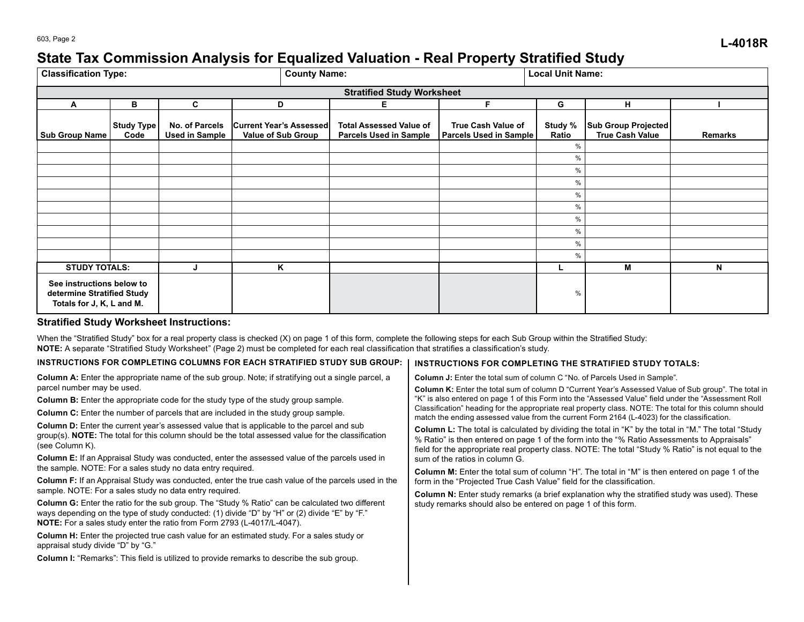## 603, Page 2 **L-4018R State Tax Commission Analysis for Equalized Valuation - Real Property Stratified Study**

| <b>Classification Type:</b>                                                          |                           |                                         | <b>County Name:</b>                                  |                                                                 |                                                     | <b>Local Unit Name:</b> |                                               |                |  |  |
|--------------------------------------------------------------------------------------|---------------------------|-----------------------------------------|------------------------------------------------------|-----------------------------------------------------------------|-----------------------------------------------------|-------------------------|-----------------------------------------------|----------------|--|--|
| <b>Stratified Study Worksheet</b>                                                    |                           |                                         |                                                      |                                                                 |                                                     |                         |                                               |                |  |  |
| A                                                                                    | в                         | C                                       | D                                                    | Е                                                               | Е                                                   | G                       | н                                             |                |  |  |
| <b>Sub Group Name</b>                                                                | <b>Study Type</b><br>Code | No. of Parcels<br><b>Used in Sample</b> | <b>Current Year's Assessed</b><br>Value of Sub Group | <b>Total Assessed Value of</b><br><b>Parcels Used in Sample</b> | <b>True Cash Value of</b><br>Parcels Used in Sample | Study %<br>Ratio        | Sub Group Projected<br><b>True Cash Value</b> | <b>Remarks</b> |  |  |
|                                                                                      |                           |                                         |                                                      |                                                                 |                                                     | %                       |                                               |                |  |  |
|                                                                                      |                           |                                         |                                                      |                                                                 |                                                     | %                       |                                               |                |  |  |
|                                                                                      |                           |                                         |                                                      |                                                                 |                                                     | %                       |                                               |                |  |  |
|                                                                                      |                           |                                         |                                                      |                                                                 |                                                     | $\%$                    |                                               |                |  |  |
|                                                                                      |                           |                                         |                                                      |                                                                 |                                                     | $\%$                    |                                               |                |  |  |
|                                                                                      |                           |                                         |                                                      |                                                                 |                                                     | $\%$                    |                                               |                |  |  |
|                                                                                      |                           |                                         |                                                      |                                                                 |                                                     | $\%$                    |                                               |                |  |  |
|                                                                                      |                           |                                         |                                                      |                                                                 |                                                     | $\%$                    |                                               |                |  |  |
|                                                                                      |                           |                                         |                                                      |                                                                 |                                                     | $\%$                    |                                               |                |  |  |
|                                                                                      |                           |                                         |                                                      |                                                                 |                                                     | %                       |                                               |                |  |  |
| <b>STUDY TOTALS:</b>                                                                 |                           | Κ                                       |                                                      |                                                                 |                                                     | м                       | N                                             |                |  |  |
| See instructions below to<br>determine Stratified Study<br>Totals for J, K, L and M. |                           |                                         |                                                      |                                                                 |                                                     | $\%$                    |                                               |                |  |  |

## **Stratified Study Worksheet Instructions:**

When the "Stratified Study" box for a real property class is checked (X) on page 1 of this form, complete the following steps for each Sub Group within the Stratified Study: **NOTE:** A separate "Stratified Study Worksheet" (Page 2) must be completed for each real classification that stratifies a classification's study.

## INSTRUCTIONS FOR COMPLETING COLUMNS FOR EACH STRATIFIED STUDY SUB GROUP: | INSTRUCTIONS FOR COMPLETING THE STRATIFIED STUDY TOTALS:

| <b>Column J:</b> Enter the total sum of column C "No. of Parcels Used in Sample".<br><b>Column K:</b> Enter the total sum of column D "Current Year's Assessed Value of Sub group". The total in<br>"K" is also entered on page 1 of this Form into the "Assessed Value" field under the "Assessment Roll<br>Classification" heading for the appropriate real property class. NOTE: The total for this column should<br>match the ending assessed value from the current Form 2164 (L-4023) for the classification.<br><b>Column L:</b> The total is calculated by dividing the total in "K" by the total in "M." The total "Study<br>% Ratio" is then entered on page 1 of the form into the "% Ratio Assessments to Appraisals"<br>field for the appropriate real property class. NOTE: The total "Study % Ratio" is not equal to the<br>sum of the ratios in column G.<br><b>Column M:</b> Enter the total sum of column "H". The total in "M" is then entered on page 1 of the<br>form in the "Projected True Cash Value" field for the classification.<br><b>Column N:</b> Enter study remarks (a brief explanation why the stratified study was used). These<br>study remarks should also be entered on page 1 of this form. |
|------------------------------------------------------------------------------------------------------------------------------------------------------------------------------------------------------------------------------------------------------------------------------------------------------------------------------------------------------------------------------------------------------------------------------------------------------------------------------------------------------------------------------------------------------------------------------------------------------------------------------------------------------------------------------------------------------------------------------------------------------------------------------------------------------------------------------------------------------------------------------------------------------------------------------------------------------------------------------------------------------------------------------------------------------------------------------------------------------------------------------------------------------------------------------------------------------------------------------------|
|                                                                                                                                                                                                                                                                                                                                                                                                                                                                                                                                                                                                                                                                                                                                                                                                                                                                                                                                                                                                                                                                                                                                                                                                                                    |
|                                                                                                                                                                                                                                                                                                                                                                                                                                                                                                                                                                                                                                                                                                                                                                                                                                                                                                                                                                                                                                                                                                                                                                                                                                    |